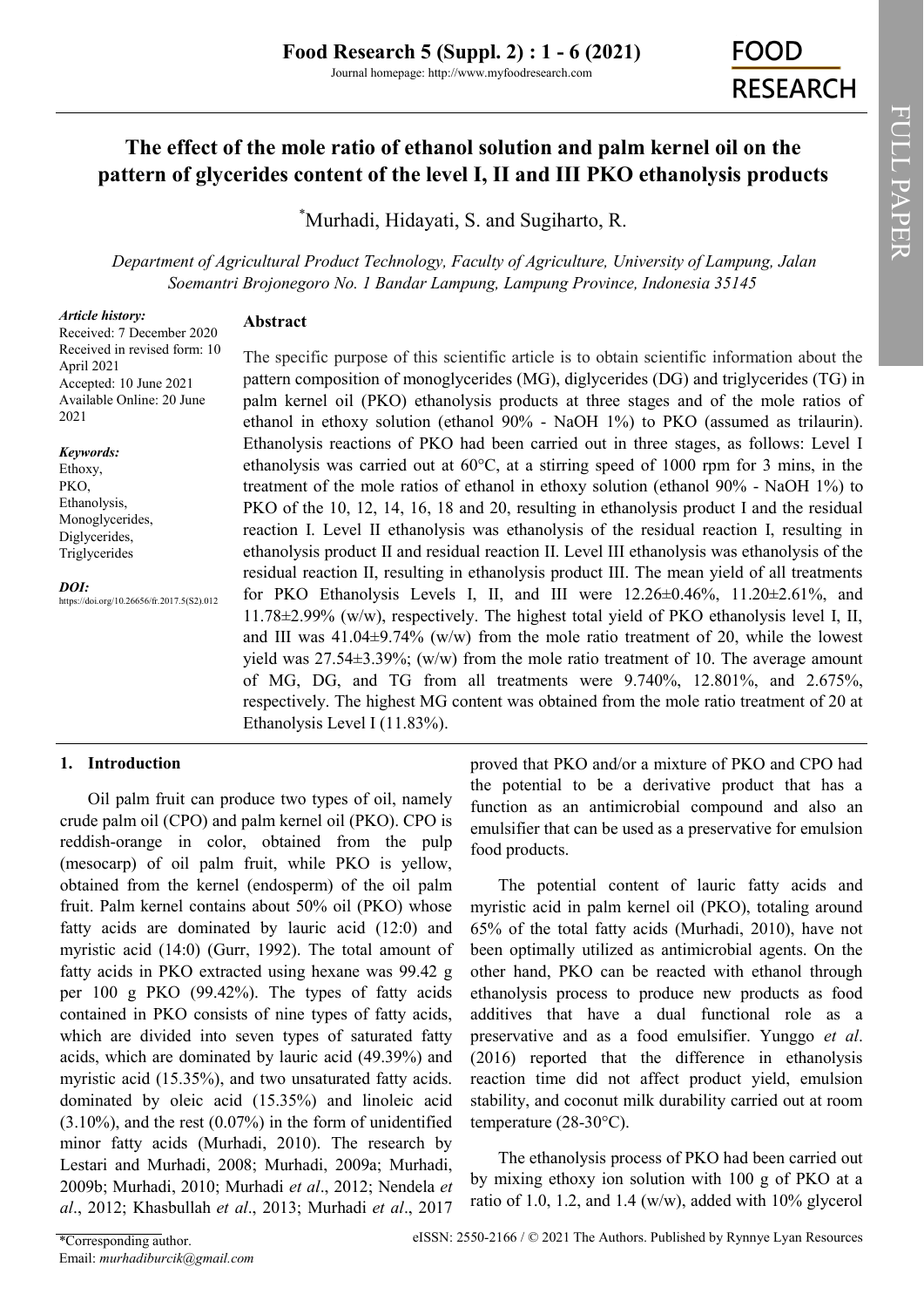# **The effect of the mole ratio of ethanol solution and palm kernel oil on the pattern of glycerides content of the level I, II and III PKO ethanolysis products**

\*[Murhadi,](https://orcid.org/0000-0002-2349-1506) [Hidayati, S.](https://orcid.org/0000-0002-8790-4322) and [Sugiharto, R.](https://orcid.org/0000-0003-0514-6722)

*Department of Agricultural Product Technology, Faculty of Agriculture, University of Lampung, Jalan Soemantri Brojonegoro No. 1 Bandar Lampung, Lampung Province, Indonesia 35145*

#### *Article history:*

## **Abstract**

Received: 7 December 2020 Received in revised form: 10 April 2021 Accepted: 10 June 2021 Available Online: 20 June 2021

#### *Keywords:*

Ethoxy, PKO, Ethanolysis, Monoglycerides, Diglycerides, Triglycerides

*DOI:*

https://doi.org/10.26656/fr.2017.5(S2).012

The specific purpose of this scientific article is to obtain scientific information about the pattern composition of monoglycerides (MG), diglycerides (DG) and triglycerides (TG) in palm kernel oil (PKO) ethanolysis products at three stages and of the mole ratios of ethanol in ethoxy solution (ethanol 90% - NaOH 1%) to PKO (assumed as trilaurin). Ethanolysis reactions of PKO had been carried out in three stages, as follows: Level I ethanolysis was carried out at  $60^{\circ}$ C, at a stirring speed of 1000 rpm for 3 mins, in the treatment of the mole ratios of ethanol in ethoxy solution (ethanol 90% - NaOH 1%) to PKO of the 10, 12, 14, 16, 18 and 20, resulting in ethanolysis product I and the residual reaction I. Level II ethanolysis was ethanolysis of the residual reaction I, resulting in ethanolysis product II and residual reaction II. Level III ethanolysis was ethanolysis of the residual reaction II, resulting in ethanolysis product III. The mean yield of all treatments for PKO Ethanolysis Levels I, II, and III were  $12.26\pm0.46\%$ ,  $11.20\pm2.61\%$ , and 11.78±2.99% (w/w), respectively. The highest total yield of PKO ethanolysis level I, II, and III was  $41.04\pm9.74\%$  (w/w) from the mole ratio treatment of 20, while the lowest yield was  $27.54\pm3.39\%$ ; (w/w) from the mole ratio treatment of 10. The average amount of MG, DG, and TG from all treatments were 9.740%, 12.801%, and 2.675%, respectively. The highest MG content was obtained from the mole ratio treatment of 20 at Ethanolysis Level I (11.83%).

## **1. Introduction**

Oil palm fruit can produce two types of oil, namely crude palm oil (CPO) and palm kernel oil (PKO). CPO is reddish-orange in color, obtained from the pulp (mesocarp) of oil palm fruit, while PKO is yellow, obtained from the kernel (endosperm) of the oil palm fruit. Palm kernel contains about 50% oil (PKO) whose fatty acids are dominated by lauric acid (12:0) and myristic acid (14:0) (Gurr, 1992). The total amount of fatty acids in PKO extracted using hexane was 99.42 g per 100 g PKO (99.42%). The types of fatty acids contained in PKO consists of nine types of fatty acids, which are divided into seven types of saturated fatty acids, which are dominated by lauric acid (49.39%) and myristic acid (15.35%), and two unsaturated fatty acids. dominated by oleic acid (15.35%) and linoleic acid (3.10%), and the rest (0.07%) in the form of unidentified minor fatty acids (Murhadi, 2010). The research by Lestari and Murhadi, 2008; Murhadi, 2009a; Murhadi, 2009b; Murhadi, 2010; Murhadi *et al*., 2012; Nendela *et al*., 2012; Khasbullah *et al*., 2013; Murhadi *et al*., 2017

proved that PKO and/or a mixture of PKO and CPO had the potential to be a derivative product that has a function as an antimicrobial compound and also an emulsifier that can be used as a preservative for emulsion food products.

The potential content of lauric fatty acids and myristic acid in palm kernel oil (PKO), totaling around 65% of the total fatty acids (Murhadi, 2010), have not been optimally utilized as antimicrobial agents. On the other hand, PKO can be reacted with ethanol through ethanolysis process to produce new products as food additives that have a dual functional role as a preservative and as a food emulsifier. Yunggo *et al*. (2016) reported that the difference in ethanolysis reaction time did not affect product yield, emulsion stability, and coconut milk durability carried out at room temperature (28-30°C).

The ethanolysis process of PKO had been carried out by mixing ethoxy ion solution with 100 g of PKO at a ratio of 1.0, 1.2, and 1.4 (w/w), added with  $10\%$  glycerol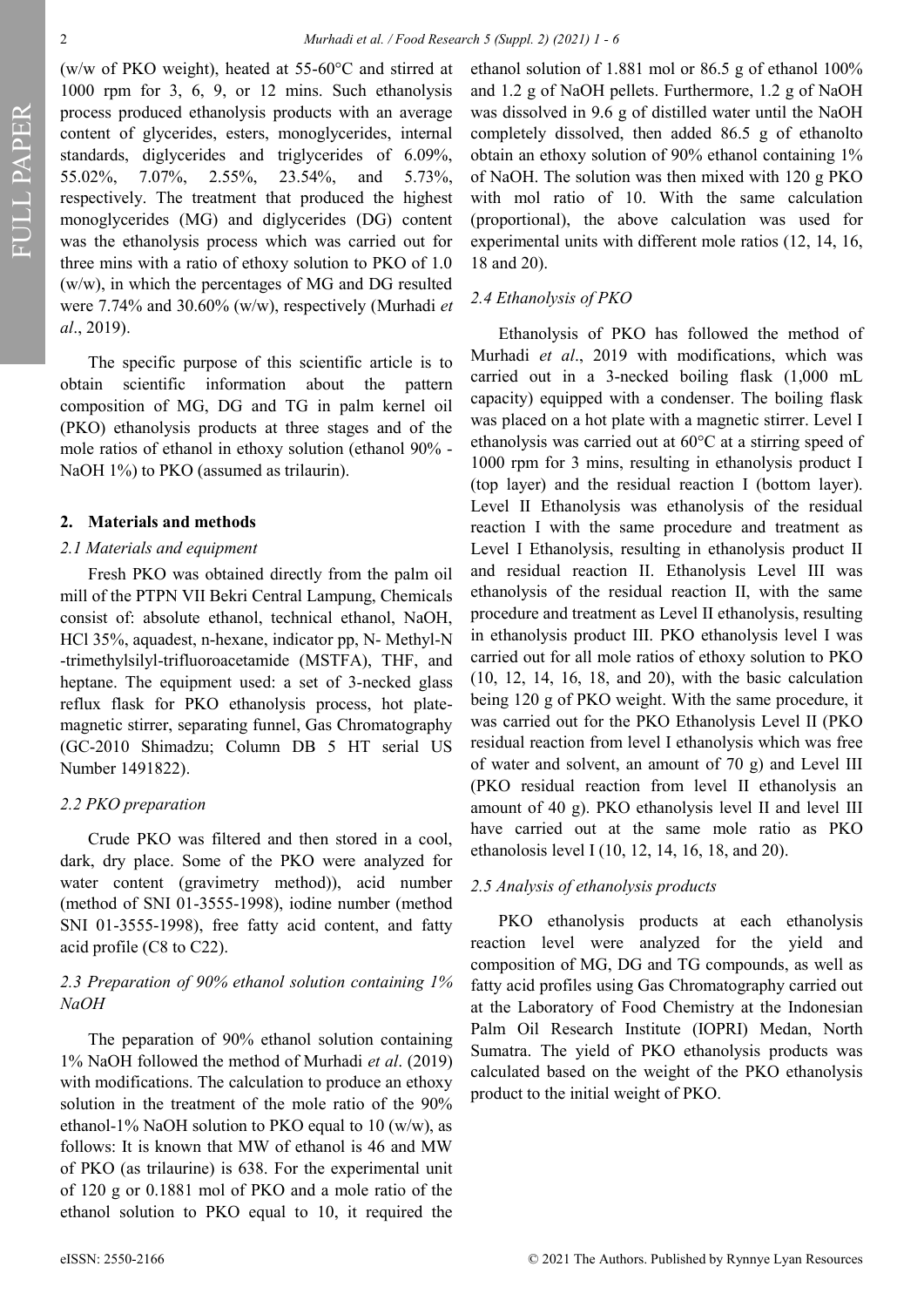FULL PAPER

(w/w of PKO weight), heated at 55-60°C and stirred at 1000 rpm for 3, 6, 9, or 12 mins. Such ethanolysis process produced ethanolysis products with an average content of glycerides, esters, monoglycerides, internal standards, diglycerides and triglycerides of 6.09%, 55.02%, 7.07%, 2.55%, 23.54%, and 5.73%, respectively. The treatment that produced the highest monoglycerides (MG) and diglycerides (DG) content was the ethanolysis process which was carried out for three mins with a ratio of ethoxy solution to PKO of 1.0 (w/w), in which the percentages of MG and DG resulted were 7.74% and 30.60% (w/w), respectively (Murhadi *et al*., 2019).

The specific purpose of this scientific article is to obtain scientific information about the pattern composition of MG, DG and TG in palm kernel oil (PKO) ethanolysis products at three stages and of the mole ratios of ethanol in ethoxy solution (ethanol 90% - NaOH 1%) to PKO (assumed as trilaurin).

#### **2. Materials and methods**

#### *2.1 Materials and equipment*

Fresh PKO was obtained directly from the palm oil mill of the PTPN VII Bekri Central Lampung, Chemicals consist of: absolute ethanol, technical ethanol, NaOH, HCl 35%, aquadest, n-hexane, indicator pp, N- Methyl-N -trimethylsilyl-trifluoroacetamide (MSTFA), THF, and heptane. The equipment used: a set of 3-necked glass reflux flask for PKO ethanolysis process, hot platemagnetic stirrer, separating funnel, Gas Chromatography (GC-2010 Shimadzu; Column DB 5 HT serial US Number 1491822).

#### *2.2 PKO preparation*

Crude PKO was filtered and then stored in a cool, dark, dry place. Some of the PKO were analyzed for water content (gravimetry method)), acid number (method of SNI 01-3555-1998), iodine number (method SNI 01-3555-1998), free fatty acid content, and fatty acid profile (C8 to C22).

## *2.3 Preparation of 90% ethanol solution containing 1% NaOH*

The peparation of 90% ethanol solution containing 1% NaOH followed the method of Murhadi *et al*. (2019) with modifications. The calculation to produce an ethoxy solution in the treatment of the mole ratio of the 90% ethanol-1% NaOH solution to PKO equal to 10 (w/w), as follows: It is known that MW of ethanol is 46 and MW of PKO (as trilaurine) is 638. For the experimental unit of 120 g or 0.1881 mol of PKO and a mole ratio of the ethanol solution to PKO equal to 10, it required the

ethanol solution of 1.881 mol or 86.5 g of ethanol 100% and 1.2 g of NaOH pellets. Furthermore, 1.2 g of NaOH was dissolved in 9.6 g of distilled water until the NaOH completely dissolved, then added 86.5 g of ethanolto obtain an ethoxy solution of 90% ethanol containing 1% of NaOH. The solution was then mixed with 120 g PKO with mol ratio of 10. With the same calculation (proportional), the above calculation was used for experimental units with different mole ratios (12, 14, 16, 18 and 20).

### *2.4 Ethanolysis of PKO*

Ethanolysis of PKO has followed the method of Murhadi *et al*., 2019 with modifications, which was carried out in a 3-necked boiling flask (1,000 mL capacity) equipped with a condenser. The boiling flask was placed on a hot plate with a magnetic stirrer. Level I ethanolysis was carried out at 60°C at a stirring speed of 1000 rpm for 3 mins, resulting in ethanolysis product I (top layer) and the residual reaction I (bottom layer). Level II Ethanolysis was ethanolysis of the residual reaction I with the same procedure and treatment as Level I Ethanolysis, resulting in ethanolysis product II and residual reaction II. Ethanolysis Level III was ethanolysis of the residual reaction II, with the same procedure and treatment as Level II ethanolysis, resulting in ethanolysis product III. PKO ethanolysis level I was carried out for all mole ratios of ethoxy solution to PKO (10, 12, 14, 16, 18, and 20), with the basic calculation being 120 g of PKO weight. With the same procedure, it was carried out for the PKO Ethanolysis Level II (PKO residual reaction from level I ethanolysis which was free of water and solvent, an amount of 70 g) and Level III (PKO residual reaction from level II ethanolysis an amount of 40 g). PKO ethanolysis level II and level III have carried out at the same mole ratio as PKO ethanolosis level I (10, 12, 14, 16, 18, and 20).

#### *2.5 Analysis of ethanolysis products*

PKO ethanolysis products at each ethanolysis reaction level were analyzed for the yield and composition of MG, DG and TG compounds, as well as fatty acid profiles using Gas Chromatography carried out at the Laboratory of Food Chemistry at the Indonesian Palm Oil Research Institute (IOPRI) Medan, North Sumatra. The yield of PKO ethanolysis products was calculated based on the weight of the PKO ethanolysis product to the initial weight of PKO.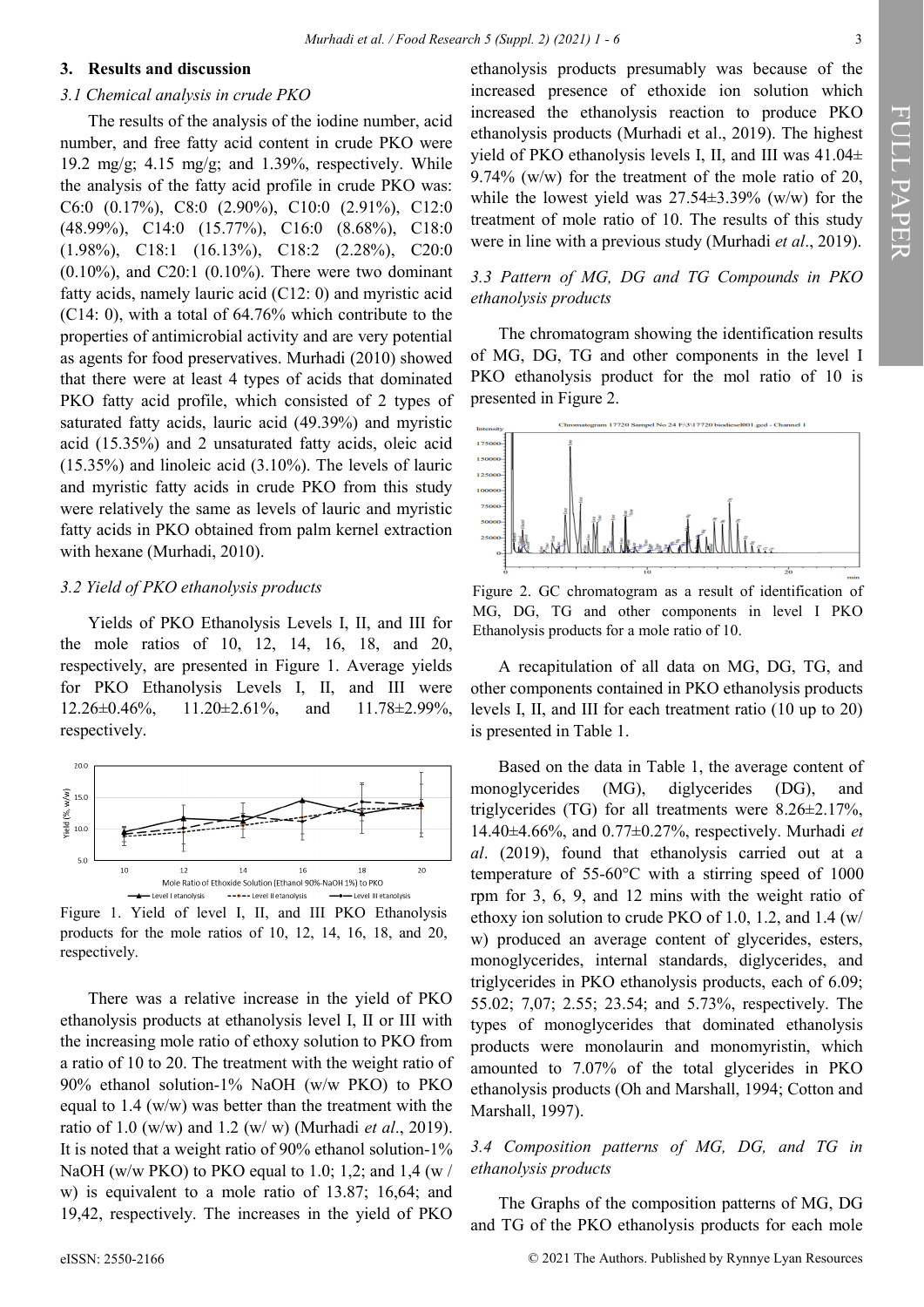#### **3. Results and discussion**

#### *3.1 Chemical analysis in crude PKO*

The results of the analysis of the iodine number, acid number, and free fatty acid content in crude PKO were 19.2 mg/g; 4.15 mg/g; and 1.39%, respectively. While the analysis of the fatty acid profile in crude PKO was: C6:0 (0.17%), C8:0 (2.90%), C10:0 (2.91%), C12:0 (48.99%), C14:0 (15.77%), C16:0 (8.68%), C18:0 (1.98%), C18:1 (16.13%), C18:2 (2.28%), C20:0  $(0.10\%)$ , and C20:1  $(0.10\%)$ . There were two dominant fatty acids, namely lauric acid (C12: 0) and myristic acid (C14: 0), with a total of 64.76% which contribute to the properties of antimicrobial activity and are very potential as agents for food preservatives. Murhadi (2010) showed that there were at least 4 types of acids that dominated PKO fatty acid profile, which consisted of 2 types of saturated fatty acids, lauric acid (49.39%) and myristic acid (15.35%) and 2 unsaturated fatty acids, oleic acid (15.35%) and linoleic acid (3.10%). The levels of lauric and myristic fatty acids in crude PKO from this study were relatively the same as levels of lauric and myristic fatty acids in PKO obtained from palm kernel extraction with hexane (Murhadi, 2010).

#### *3.2 Yield of PKO ethanolysis products*

Yields of PKO Ethanolysis Levels I, II, and III for the mole ratios of 10, 12, 14, 16, 18, and 20, respectively, are presented in Figure 1. Average yields for PKO Ethanolysis Levels I, II, and III were  $12.26\pm0.46\%$ ,  $11.20\pm2.61\%$ , and  $11.78\pm2.99\%$ , respectively.



Figure 1. Yield of level I, II, and III PKO Ethanolysis products for the mole ratios of 10, 12, 14, 16, 18, and 20, respectively.

There was a relative increase in the yield of PKO ethanolysis products at ethanolysis level I, II or III with the increasing mole ratio of ethoxy solution to PKO from a ratio of 10 to 20. The treatment with the weight ratio of 90% ethanol solution-1% NaOH (w/w PKO) to PKO equal to 1.4 (w/w) was better than the treatment with the ratio of 1.0 (w/w) and 1.2 (w/ w) (Murhadi *et al*., 2019). It is noted that a weight ratio of 90% ethanol solution-1% NaOH (w/w PKO) to PKO equal to 1.0; 1,2; and 1,4 (w / w) is equivalent to a mole ratio of 13.87; 16,64; and 19,42, respectively. The increases in the yield of PKO

## *3.3 Pattern of MG, DG and TG Compounds in PKO ethanolysis products*

The chromatogram showing the identification results of MG, DG, TG and other components in the level I PKO ethanolysis product for the mol ratio of 10 is presented in Figure 2.



Figure 2. GC chromatogram as a result of identification of MG, DG, TG and other components in level I PKO Ethanolysis products for a mole ratio of 10.

A recapitulation of all data on MG, DG, TG, and other components contained in PKO ethanolysis products levels I, II, and III for each treatment ratio (10 up to 20) is presented in Table 1.

Based on the data in Table 1, the average content of monoglycerides (MG), diglycerides (DG), and triglycerides (TG) for all treatments were 8.26±2.17%, 14.40±4.66%, and 0.77±0.27%, respectively. Murhadi *et al*. (2019), found that ethanolysis carried out at a temperature of 55-60°C with a stirring speed of 1000 rpm for 3, 6, 9, and 12 mins with the weight ratio of ethoxy ion solution to crude PKO of 1.0, 1.2, and 1.4 (w/ w) produced an average content of glycerides, esters, monoglycerides, internal standards, diglycerides, and triglycerides in PKO ethanolysis products, each of 6.09; 55.02; 7,07; 2.55; 23.54; and 5.73%, respectively. The types of monoglycerides that dominated ethanolysis products were monolaurin and monomyristin, which amounted to 7.07% of the total glycerides in PKO ethanolysis products (Oh and Marshall, 1994; Cotton and Marshall, 1997).

## *3.4 Composition patterns of MG, DG, and TG in ethanolysis products*

The Graphs of the composition patterns of MG, DG and TG of the PKO ethanolysis products for each mole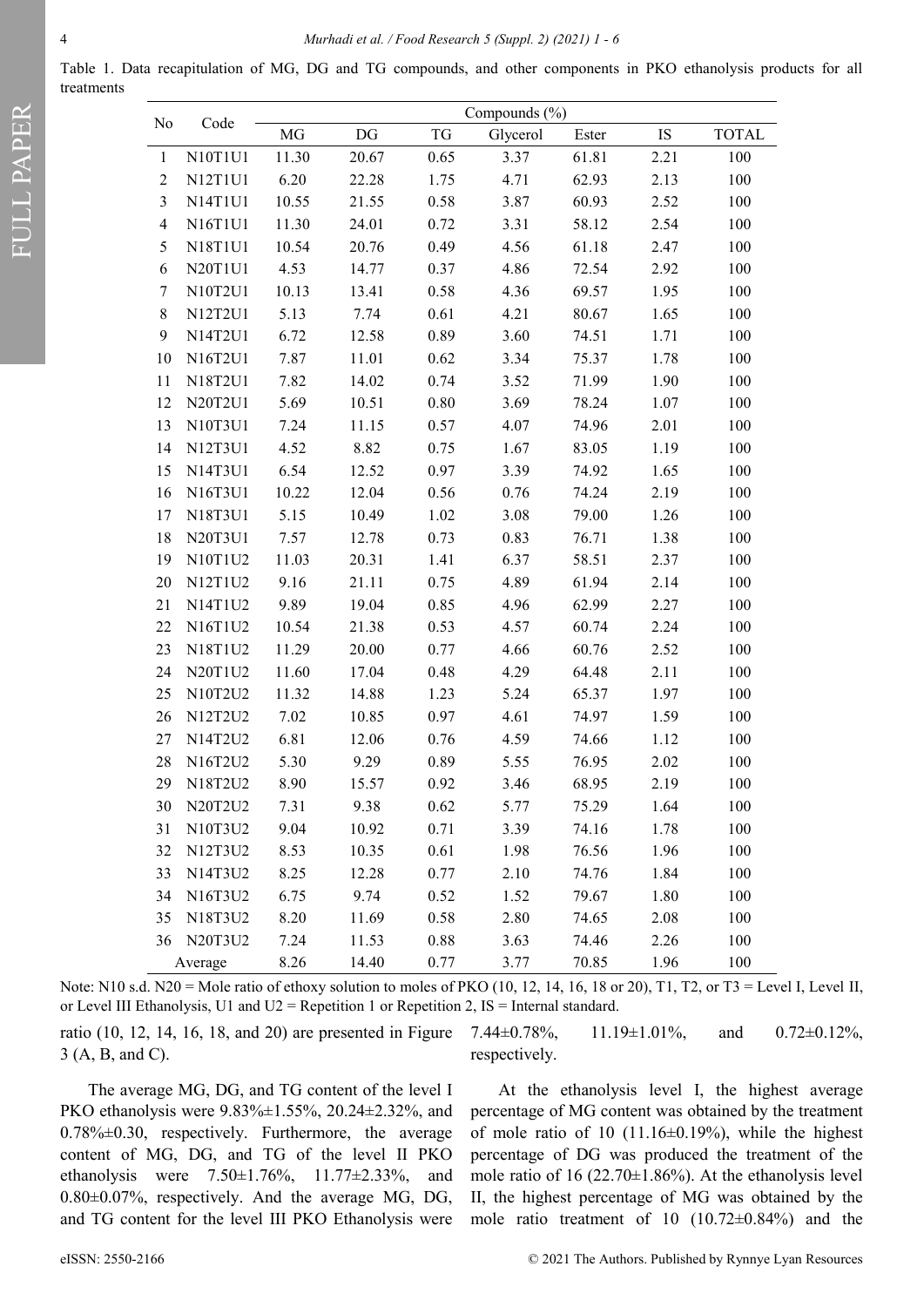Table 1. Data recapitulation of MG, DG and TG compounds, and other components in PKO ethanolysis products for all treatments

| No             | Code    | Compounds (%) |       |          |          |       |      |              |
|----------------|---------|---------------|-------|----------|----------|-------|------|--------------|
|                |         | $\rm MG$      | DG    | TG       | Glycerol | Ester | IS   | <b>TOTAL</b> |
| $\mathbf{1}$   | N10T1U1 | 11.30         | 20.67 | 0.65     | 3.37     | 61.81 | 2.21 | 100          |
| $\overline{2}$ | N12T1U1 | 6.20          | 22.28 | 1.75     | 4.71     | 62.93 | 2.13 | 100          |
| $\mathfrak{Z}$ | N14T1U1 | 10.55         | 21.55 | $0.58\,$ | 3.87     | 60.93 | 2.52 | 100          |
| $\overline{4}$ | N16T1U1 | 11.30         | 24.01 | 0.72     | 3.31     | 58.12 | 2.54 | 100          |
| 5              | N18T1U1 | 10.54         | 20.76 | 0.49     | 4.56     | 61.18 | 2.47 | 100          |
| 6              | N20T1U1 | 4.53          | 14.77 | 0.37     | 4.86     | 72.54 | 2.92 | 100          |
| $\tau$         | N10T2U1 | 10.13         | 13.41 | 0.58     | 4.36     | 69.57 | 1.95 | 100          |
| $\,$ 8 $\,$    | N12T2U1 | 5.13          | 7.74  | 0.61     | 4.21     | 80.67 | 1.65 | 100          |
| 9              | N14T2U1 | 6.72          | 12.58 | 0.89     | 3.60     | 74.51 | 1.71 | 100          |
| 10             | N16T2U1 | 7.87          | 11.01 | 0.62     | 3.34     | 75.37 | 1.78 | 100          |
| 11             | N18T2U1 | 7.82          | 14.02 | 0.74     | 3.52     | 71.99 | 1.90 | 100          |
| 12             | N20T2U1 | 5.69          | 10.51 | 0.80     | 3.69     | 78.24 | 1.07 | 100          |
| 13             | N10T3U1 | 7.24          | 11.15 | 0.57     | 4.07     | 74.96 | 2.01 | 100          |
| 14             | N12T3U1 | 4.52          | 8.82  | 0.75     | 1.67     | 83.05 | 1.19 | 100          |
| 15             | N14T3U1 | 6.54          | 12.52 | 0.97     | 3.39     | 74.92 | 1.65 | 100          |
| 16             | N16T3U1 | 10.22         | 12.04 | 0.56     | 0.76     | 74.24 | 2.19 | 100          |
| 17             | N18T3U1 | 5.15          | 10.49 | 1.02     | 3.08     | 79.00 | 1.26 | 100          |
| 18             | N20T3U1 | 7.57          | 12.78 | 0.73     | 0.83     | 76.71 | 1.38 | 100          |
| 19             | N10T1U2 | 11.03         | 20.31 | 1.41     | 6.37     | 58.51 | 2.37 | 100          |
| 20             | N12T1U2 | 9.16          | 21.11 | 0.75     | 4.89     | 61.94 | 2.14 | 100          |
| 21             | N14T1U2 | 9.89          | 19.04 | 0.85     | 4.96     | 62.99 | 2.27 | 100          |
| 22             | N16T1U2 | 10.54         | 21.38 | 0.53     | 4.57     | 60.74 | 2.24 | 100          |
| 23             | N18T1U2 | 11.29         | 20.00 | 0.77     | 4.66     | 60.76 | 2.52 | 100          |
| 24             | N20T1U2 | 11.60         | 17.04 | 0.48     | 4.29     | 64.48 | 2.11 | 100          |
| 25             | N10T2U2 | 11.32         | 14.88 | 1.23     | 5.24     | 65.37 | 1.97 | 100          |
| 26             | N12T2U2 | 7.02          | 10.85 | 0.97     | 4.61     | 74.97 | 1.59 | 100          |
| 27             | N14T2U2 | 6.81          | 12.06 | $0.76\,$ | 4.59     | 74.66 | 1.12 | 100          |
| 28             | N16T2U2 | 5.30          | 9.29  | 0.89     | 5.55     | 76.95 | 2.02 | 100          |
| 29             | N18T2U2 | 8.90          | 15.57 | 0.92     | 3.46     | 68.95 | 2.19 | 100          |
| 30             | N20T2U2 | 7.31          | 9.38  | 0.62     | 5.77     | 75.29 | 1.64 | 100          |
| 31             | N10T3U2 | 9.04          | 10.92 | 0.71     | 3.39     | 74.16 | 1.78 | 100          |
| 32             | N12T3U2 | 8.53          | 10.35 | 0.61     | 1.98     | 76.56 | 1.96 | 100          |
| 33             | N14T3U2 | 8.25          | 12.28 | 0.77     | 2.10     | 74.76 | 1.84 | 100          |
| 34             | N16T3U2 | 6.75          | 9.74  | 0.52     | 1.52     | 79.67 | 1.80 | 100          |
| 35             | N18T3U2 | 8.20          | 11.69 | 0.58     | 2.80     | 74.65 | 2.08 | 100          |
| 36             | N20T3U2 | 7.24          | 11.53 | 0.88     | 3.63     | 74.46 | 2.26 | 100          |
| Average        |         | 8.26          | 14.40 | 0.77     | 3.77     | 70.85 | 1.96 | 100          |

Note: N10 s.d. N20 = Mole ratio of ethoxy solution to moles of PKO (10, 12, 14, 16, 18 or 20), T1, T2, or T3 = Level I, Level II, or Level III Ethanolysis, U1 and  $U2$  = Repetition 1 or Repetition 2, IS = Internal standard.

ratio (10, 12, 14, 16, 18, and 20) are presented in Figure 3 (A, B, and C).

7.44±0.78%, 11.19±1.01%, and 0.72±0.12%, respectively.

The average MG, DG, and TG content of the level I PKO ethanolysis were 9.83%±1.55%, 20.24±2.32%, and 0.78%±0.30, respectively. Furthermore, the average content of MG, DG, and TG of the level II PKO ethanolysis were 7.50±1.76%, 11.77±2.33%, and 0.80±0.07%, respectively. And the average MG, DG, and TG content for the level III PKO Ethanolysis were

At the ethanolysis level I, the highest average percentage of MG content was obtained by the treatment of mole ratio of 10  $(11.16\pm0.19\%)$ , while the highest percentage of DG was produced the treatment of the mole ratio of  $16$  (22.70 $\pm$ 1.86%). At the ethanolysis level II, the highest percentage of MG was obtained by the mole ratio treatment of 10 (10.72±0.84%) and the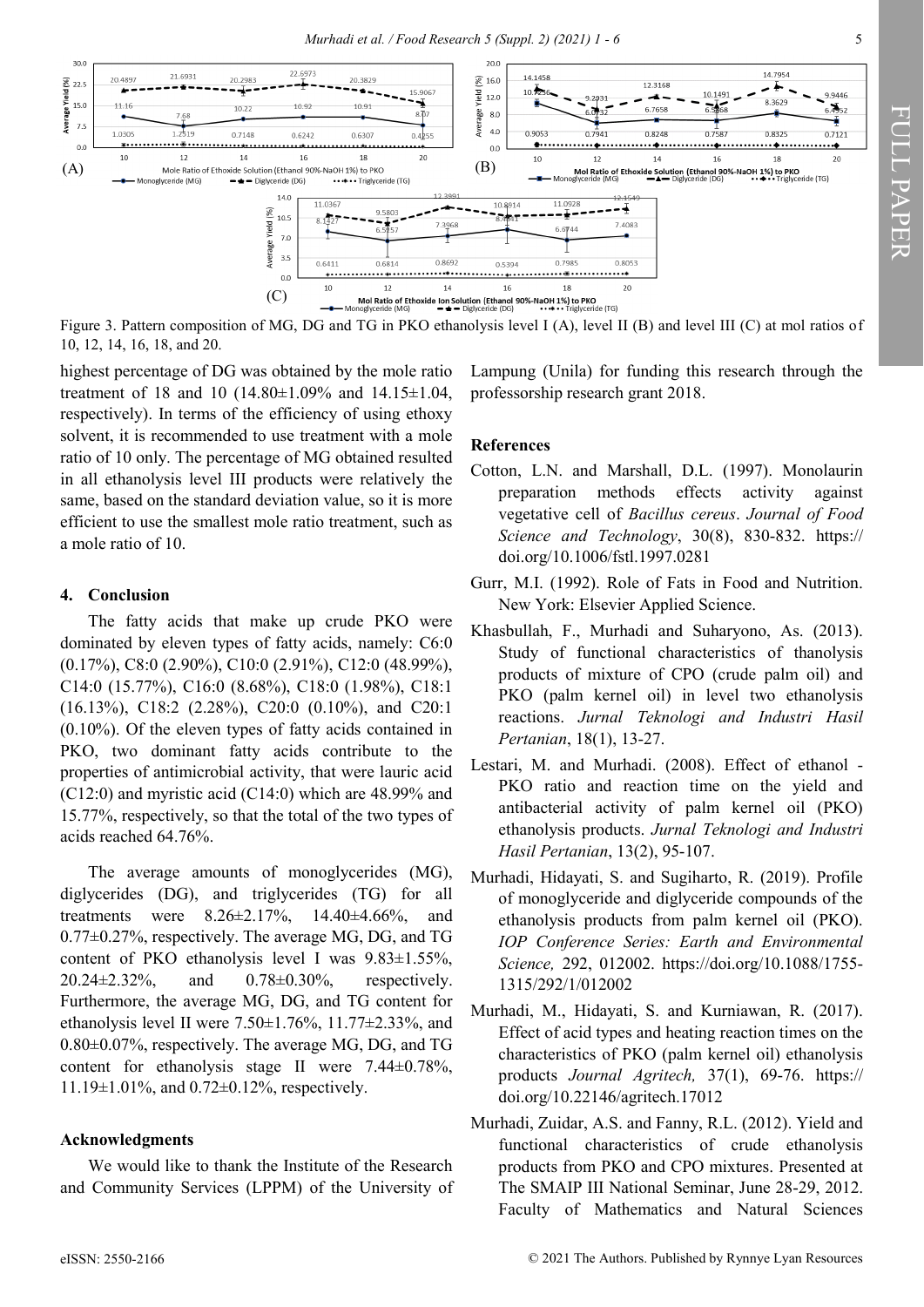

Figure 3. Pattern composition of MG, DG and TG in PKO ethanolysis level I (A), level II (B) and level III (C) at mol ratios of 10, 12, 14, 16, 18, and 20.

highest percentage of DG was obtained by the mole ratio treatment of 18 and 10 (14.80±1.09% and 14.15±1.04, respectively). In terms of the efficiency of using ethoxy solvent, it is recommended to use treatment with a mole ratio of 10 only. The percentage of MG obtained resulted in all ethanolysis level III products were relatively the same, based on the standard deviation value, so it is more efficient to use the smallest mole ratio treatment, such as a mole ratio of 10.

### **4. Conclusion**

The fatty acids that make up crude PKO were dominated by eleven types of fatty acids, namely: C6:0 (0.17%), C8:0 (2.90%), C10:0 (2.91%), C12:0 (48.99%), C14:0 (15.77%), C16:0 (8.68%), C18:0 (1.98%), C18:1 (16.13%), C18:2 (2.28%), C20:0 (0.10%), and C20:1 (0.10%). Of the eleven types of fatty acids contained in PKO, two dominant fatty acids contribute to the properties of antimicrobial activity, that were lauric acid (C12:0) and myristic acid (C14:0) which are 48.99% and 15.77%, respectively, so that the total of the two types of acids reached 64.76%.

The average amounts of monoglycerides (MG), diglycerides (DG), and triglycerides (TG) for all treatments were 8.26±2.17%, 14.40±4.66%, and 0.77±0.27%, respectively. The average MG, DG, and TG content of PKO ethanolysis level I was 9.83±1.55%, 20.24±2.32%, and 0.78±0.30%, respectively. Furthermore, the average MG, DG, and TG content for ethanolysis level II were  $7.50 \pm 1.76$ %,  $11.77 \pm 2.33$ %, and 0.80±0.07%, respectively. The average MG, DG, and TG content for ethanolysis stage II were 7.44±0.78%, 11.19±1.01%, and 0.72±0.12%, respectively.

#### **Acknowledgments**

We would like to thank the Institute of the Research and Community Services (LPPM) of the University of Lampung (Unila) for funding this research through the professorship research grant 2018.

### **References**

- Cotton, L.N. and Marshall, D.L. (1997). Monolaurin preparation methods effects activity against vegetative cell of *Bacillus cereus*. *Journal of Food Science and Technology*, 30(8), 830-832. https:// doi.org/10.1006/fstl.1997.0281
- Gurr, M.I. (1992). Role of Fats in Food and Nutrition. New York: Elsevier Applied Science.
- Khasbullah, F., Murhadi and Suharyono, As. (2013). Study of functional characteristics of thanolysis products of mixture of CPO (crude palm oil) and PKO (palm kernel oil) in level two ethanolysis reactions. *Jurnal Teknologi and Industri Hasil Pertanian*, 18(1), 13-27.
- Lestari, M. and Murhadi. (2008). Effect of ethanol PKO ratio and reaction time on the yield and antibacterial activity of palm kernel oil (PKO) ethanolysis products. *Jurnal Teknologi and Industri Hasil Pertanian*, 13(2), 95-107.
- Murhadi, Hidayati, S. and Sugiharto, R. (2019). Profile of monoglyceride and diglyceride compounds of the ethanolysis products from palm kernel oil (PKO). *IOP Conference Series: Earth and Environmental Science,* 292, 012002. [https://doi.org/10.1088/1755](https://doi.org/10.1088/1755-1315/292/1/012002)- [1315/292/1/012002](https://doi.org/10.1088/1755-1315/292/1/012002)
- Murhadi, M., Hidayati, S. and Kurniawan, R. (2017). Effect of acid types and heating reaction times on the characteristics of PKO (palm kernel oil) ethanolysis products *Journal Agritech,* 37(1), 69-76. https:// [doi.org/10.22146/agritech.17012](https://doi.org/10.22146/agritech.17012)
- Murhadi, Zuidar, A.S. and Fanny, R.L. (2012). Yield and functional characteristics of crude ethanolysis products from PKO and CPO mixtures. Presented at The SMAIP III National Seminar, June 28-29, 2012. Faculty of Mathematics and Natural Sciences

FULL PAPER

FULL PAPER